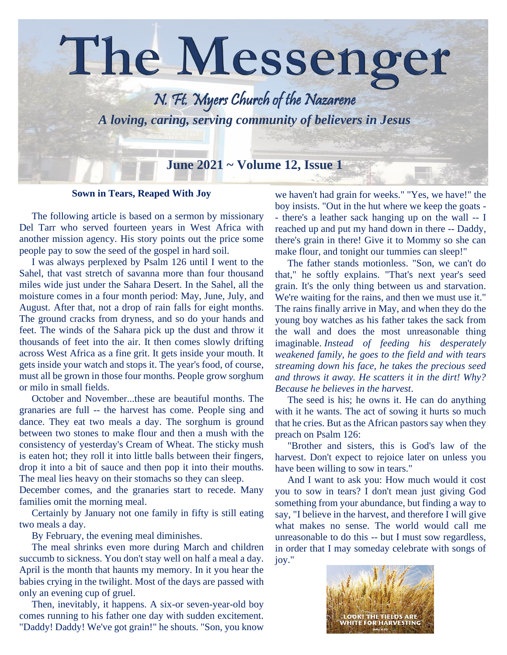

**Sown in Tears, Reaped With Joy**

 The following article is based on a sermon by missionary Del Tarr who served fourteen years in West Africa with another mission agency. His story points out the price some people pay to sow the seed of the gospel in hard soil.

 I was always perplexed by Psalm 126 until I went to the Sahel, that vast stretch of savanna more than four thousand miles wide just under the Sahara Desert. In the Sahel, all the moisture comes in a four month period: May, June, July, and August. After that, not a drop of rain falls for eight months. The ground cracks from dryness, and so do your hands and feet. The winds of the Sahara pick up the dust and throw it thousands of feet into the air. It then comes slowly drifting across West Africa as a fine grit. It gets inside your mouth. It gets inside your watch and stops it. The year's food, of course, must all be grown in those four months. People grow sorghum or milo in small fields.

 October and November...these are beautiful months. The granaries are full -- the harvest has come. People sing and dance. They eat two meals a day. The sorghum is ground between two stones to make flour and then a mush with the consistency of yesterday's Cream of Wheat. The sticky mush is eaten hot; they roll it into little balls between their fingers, drop it into a bit of sauce and then pop it into their mouths. The meal lies heavy on their stomachs so they can sleep. December comes, and the granaries start to recede. Many

families omit the morning meal.

 Certainly by January not one family in fifty is still eating two meals a day.

By February, the evening meal diminishes.

 The meal shrinks even more during March and children succumb to sickness. You don't stay well on half a meal a day. April is the month that haunts my memory. In it you hear the babies crying in the twilight. Most of the days are passed with only an evening cup of gruel.

 Then, inevitably, it happens. A six-or seven-year-old boy comes running to his father one day with sudden excitement. "Daddy! Daddy! We've got grain!" he shouts. "Son, you know we haven't had grain for weeks." "Yes, we have!" the boy insists. "Out in the hut where we keep the goats - - there's a leather sack hanging up on the wall -- I reached up and put my hand down in there -- Daddy, there's grain in there! Give it to Mommy so she can make flour, and tonight our tummies can sleep!"

 The father stands motionless. "Son, we can't do that," he softly explains. "That's next year's seed grain. It's the only thing between us and starvation. We're waiting for the rains, and then we must use it." The rains finally arrive in May, and when they do the young boy watches as his father takes the sack from the wall and does the most unreasonable thing imaginable. *Instead of feeding his desperately weakened family, he goes to the field and with tears streaming down his face, he takes the precious seed and throws it away. He scatters it in the dirt! Why? Because he believes in the harvest*.

 The seed is his; he owns it. He can do anything with it he wants. The act of sowing it hurts so much that he cries. But as the African pastors say when they preach on Psalm 126:

 "Brother and sisters, this is God's law of the harvest. Don't expect to rejoice later on unless you have been willing to sow in tears."

 And I want to ask you: How much would it cost you to sow in tears? I don't mean just giving God something from your abundance, but finding a way to say, "I believe in the harvest, and therefore I will give what makes no sense. The world would call me unreasonable to do this -- but I must sow regardless, in order that I may someday celebrate with songs of joy."